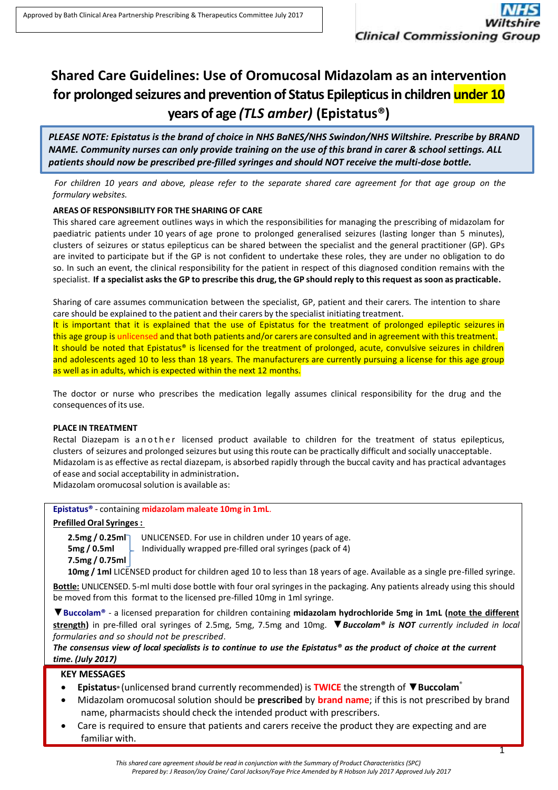# **Shared Care Guidelines: Use of Oromucosal Midazolam as an intervention for prolonged seizures and prevention of Status Epilepticus in children under 10 years of age** *(TLS amber)* **(Epistatus®)**

*PLEASE NOTE: Epistatus is the brand of choice in NHS BaNES/NHS Swindon/NHS Wiltshire. Prescribe by BRAND NAME. Community nurses can only provide training on the use of this brand in carer & school settings. ALL patients should now be prescribed pre-filled syringes and should NOT receive the multi-dose bottle.*

*For children 10 years and above, please refer to the separate shared care agreement for that age group on the formulary websites.*

## **AREAS OF RESPONSIBILITY FOR THE SHARING OF CARE**

This shared care agreement outlines ways in which the responsibilities for managing the prescribing of midazolam for paediatric patients under 10 years of age prone to prolonged generalised seizures (lasting longer than 5 minutes), clusters of seizures or status epilepticus can be shared between the specialist and the general practitioner (GP). GPs are invited to participate but if the GP is not confident to undertake these roles, they are under no obligation to do so. In such an event, the clinical responsibility for the patient in respect of this diagnosed condition remains with the specialist. If a specialist asks the GP to prescribe this drug, the GP should reply to this request as soon as practicable.

Sharing of care assumes communication between the specialist, GP, patient and their carers. The intention to share care should be explained to the patient and their carers by the specialist initiating treatment.

It is important that it is explained that the use of Epistatus for the treatment of prolonged epileptic seizures in this age group is unlicensed and that both patients and/or carers are consulted and in agreement with this treatment. It should be noted that Epistatus® is licensed for the treatment of prolonged, acute, convulsive seizures in children and adolescents aged 10 to less than 18 years. The manufacturers are currently pursuing a license for this age group as well as in adults, which is expected within the next 12 months.

The doctor or nurse who prescribes the medication legally assumes clinical responsibility for the drug and the consequences of its use.

#### **PLACE IN TREATMENT**

Rectal Diazepam is a n o the r licensed product available to children for the treatment of status epilepticus, clusters of seizures and prolonged seizures but using thisroute can be practically difficult and socially unacceptable. Midazolam is as effective as rectal diazepam, is absorbed rapidly through the buccal cavity and has practical advantages of ease and social acceptability in administration**.**

Midazolam oromucosal solution is available as:

# **Epistatus®** - containing **midazolam maleate 10mg in 1mL**.

#### **Prefilled Oral Syringes:**

**7.5mg / 0.75ml**

**2.5mg / 0.25ml** UNLICENSED. For use in children under 10 years of age. **5mg / 0.5ml L** Individually wrapped pre-filled oral syringes (pack of 4)

**10mg / 1ml** LICENSED product for children aged 10 to less than 18 years of age. Available as a single pre-filled syringe.

**Bottle:** UNLICENSED. 5-ml multi dose bottle with four oral syringes in the packaging. Any patients already using this should be moved from this format to the licensed pre-filled 10mg in 1ml syringe.

▼**Buccolam®** - a licensed preparation for children containing **midazolam hydrochloride 5mg in 1mL (note the different strength)** in pre-filled oral syringes of 2.5mg, 5mg, 7.5mg and 10mg. ▼*Buccolam® is NOT currently included in local formularies and so should not be prescribed.*

*The consensus view of local specialists is to continue to use the Epistatus® as the product of choice at the current time. (July 2017)*

### **KEY MESSAGES**

- **Epistatus®** (unlicensed brand currently recommended) is **TWICE** the strength of ▼**Buccolam** ®
- Midazolam oromucosal solution should be **prescribed** by **brand name**; if this is not prescribed by brand name, pharmacists should check the intended product with prescribers.
- Care is required to ensure that patients and carers receive the product they are expecting and are familiar with.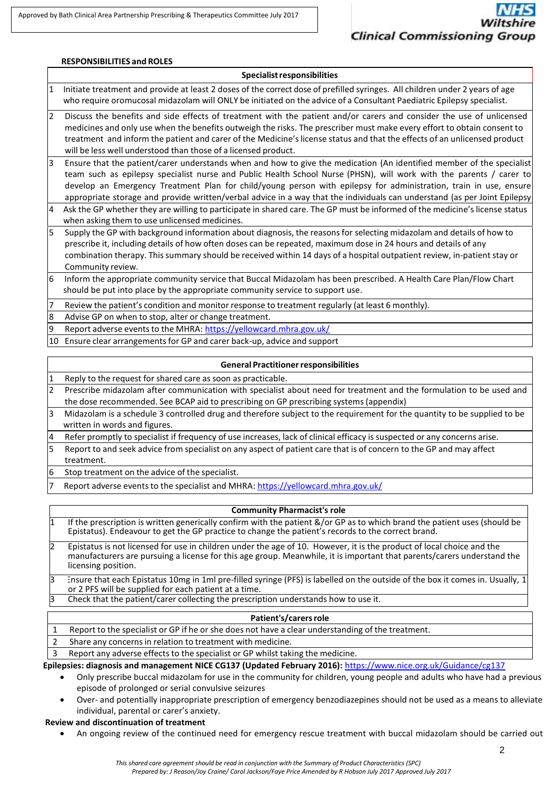|                | <b>RESPONSIBILITIES and ROLES</b>                                                                                                                                                                                                                                                                                                                                                                                                                                                              |  |  |  |  |  |  |
|----------------|------------------------------------------------------------------------------------------------------------------------------------------------------------------------------------------------------------------------------------------------------------------------------------------------------------------------------------------------------------------------------------------------------------------------------------------------------------------------------------------------|--|--|--|--|--|--|
|                | <b>Specialist responsibilities</b>                                                                                                                                                                                                                                                                                                                                                                                                                                                             |  |  |  |  |  |  |
| 11             | Initiate treatment and provide at least 2 doses of the correct dose of prefilled syringes. All children under 2 years of age<br>who require oromucosal midazolam will ONLY be initiated on the advice of a Consultant Paediatric Epilepsy specialist.                                                                                                                                                                                                                                          |  |  |  |  |  |  |
| $\overline{2}$ | Discuss the benefits and side effects of treatment with the patient and/or carers and consider the use of unlicensed<br>medicines and only use when the benefits outweigh the risks. The prescriber must make every effort to obtain consent to<br>treatment and inform the patient and carer of the Medicine's license status and that the effects of an unlicensed product<br>will be less well understood than those of a licensed product.                                                 |  |  |  |  |  |  |
| l3             | Ensure that the patient/carer understands when and how to give the medication (An identified member of the specialist<br>team such as epilepsy specialist nurse and Public Health School Nurse (PHSN), will work with the parents / carer to<br>develop an Emergency Treatment Plan for child/young person with epilepsy for administration, train in use, ensure<br>appropriate storage and provide written/verbal advice in a way that the individuals can understand (as per Joint Epilepsy |  |  |  |  |  |  |
| $\overline{4}$ | Ask the GP whether they are willing to participate in shared care. The GP must be informed of the medicine's license status<br>when asking them to use unlicensed medicines.                                                                                                                                                                                                                                                                                                                   |  |  |  |  |  |  |
| $\overline{5}$ | Supply the GP with background information about diagnosis, the reasons for selecting midazolam and details of how to<br>prescribe it, including details of how often doses can be repeated, maximum dose in 24 hours and details of any<br>combination therapy. This summary should be received within 14 days of a hospital outpatient review, in-patient stay or<br>Community review.                                                                                                        |  |  |  |  |  |  |
| 6              | Inform the appropriate community service that Buccal Midazolam has been prescribed. A Health Care Plan/Flow Chart<br>should be put into place by the appropriate community service to support use.                                                                                                                                                                                                                                                                                             |  |  |  |  |  |  |
| 7              | Review the patient's condition and monitor response to treatment regularly (at least 6 monthly).                                                                                                                                                                                                                                                                                                                                                                                               |  |  |  |  |  |  |
| 8              | Advise GP on when to stop, alter or change treatment.                                                                                                                                                                                                                                                                                                                                                                                                                                          |  |  |  |  |  |  |
| 9              | Report adverse events to the MHRA: https://yellowcard.mhra.gov.uk/                                                                                                                                                                                                                                                                                                                                                                                                                             |  |  |  |  |  |  |
| 10             | Ensure clear arrangements for GP and carer back-up, advice and support                                                                                                                                                                                                                                                                                                                                                                                                                         |  |  |  |  |  |  |
|                | <b>General Practitioner responsibilities</b>                                                                                                                                                                                                                                                                                                                                                                                                                                                   |  |  |  |  |  |  |

|   | Reply to the request for shared care as soon as practicable.                                                              |
|---|---------------------------------------------------------------------------------------------------------------------------|
| 2 | Prescribe midazolam after communication with specialist about need for treatment and the formulation to be used and       |
|   | the dose recommended. See BCAP aid to prescribing on GP prescribing systems (appendix)                                    |
| 3 | Midazolam is a schedule 3 controlled drug and therefore subject to the requirement for the quantity to be supplied to be  |
|   | written in words and figures.                                                                                             |
| 4 | Refer promptly to specialist if frequency of use increases, lack of clinical efficacy is suspected or any concerns arise. |
| 5 | Report to and seek advice from specialist on any aspect of patient care that is of concern to the GP and may affect       |
|   | treatment.                                                                                                                |
| 6 | Stop treatment on the advice of the specialist.                                                                           |
| 7 | Report adverse events to the specialist and MHRA: https://yellowcard.mhra.gov.uk/                                         |

# **Community Pharmacist's role**

1 If the prescription is written generically confirm with the patient &/or GP as to which brand the patient uses (should be Epistatus). Endeavour to get the GP practice to change the patient's records to the correct brand. 2 Epistatus is not licensed for use in children under the age of 10. However, it is the product of local choice and the

manufacturers are pursuing a license for this age group. Meanwhile, it is important that parents/carers understand the licensing position.

Ensure that each Epistatus 10mg in 1ml pre-filled syringe (PFS) is labelled on the outside of the box it comes in. Usually, 1 or 2 PFS will be supplied for each patient at a time.

3 Check that the patient/carer collecting the prescription understands how to use it.

### Patient's/carers role

1 Report to the specialist or GP if he or she does not have a clear understanding of the treatment.

2 Share any concerns in relation to treatment with medicine.

3 Report any adverse effects to the specialist or GP whilst taking the medicine.

**Epilepsies: diagnosis and management NICE CG137 (Updated February 2016):** <https://www.nice.org.uk/Guidance/cg137>

- Only prescribe buccal midazolam for use in the community for children, young people and adults who have had a previous episode of prolonged or serial convulsive seizures
- Over- and potentially inappropriate prescription of emergency benzodiazepines should not be used as a means to alleviate individual, parental or carer's anxiety.

# **Review and discontinuation of treatment**

An ongoing review of the continued need for emergency rescue treatment with buccal midazolam should be carried out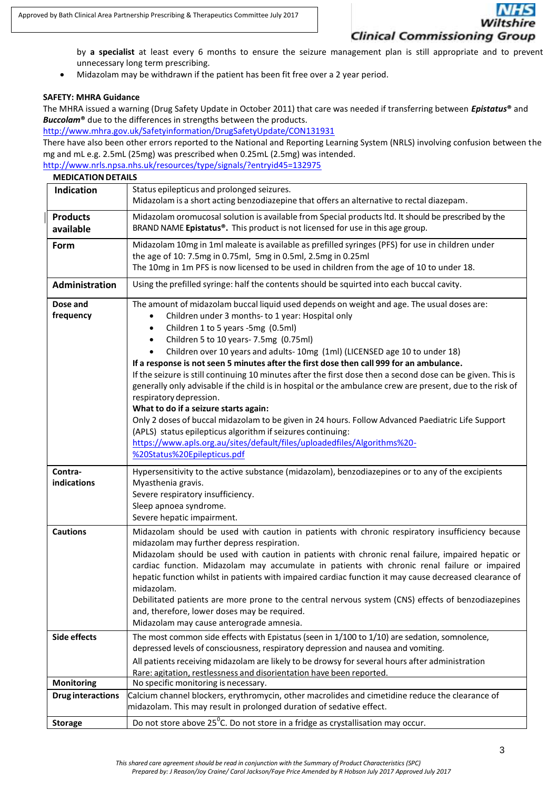# **Clinical Commissioning Group**

by **a specialist** at least every 6 months to ensure the seizure management plan is still appropriate and to prevent unnecessary long term prescribing.

Midazolam may be withdrawn if the patient has been fit free over a 2 year period.

#### **SAFETY: MHRA Guidance**

The MHRA issued a warning (Drug Safety Update in October 2011) that care was needed if transferring between *Epistatus***®** and *Buccolam***®** due to the differences in strengths between the products.

<http://www.mhra.gov.uk/Safetyinformation/DrugSafetyUpdate/CON131931>

There have also been other errors reported to the National and Reporting Learning System (NRLS) involving confusion between the mg and mL e.g. 2.5mL (25mg) was prescribed when 0.25mL (2.5mg) was intended.

<http://www.nrls.npsa.nhs.uk/resources/type/signals/?entryid45=132975> **MEDICATION DETAILS** 

| IVIEDICA I IUN DE I AILS |                                                                                                             |  |  |  |  |  |
|--------------------------|-------------------------------------------------------------------------------------------------------------|--|--|--|--|--|
| Indication               | Status epilepticus and prolonged seizures.                                                                  |  |  |  |  |  |
|                          | Midazolam is a short acting benzodiazepine that offers an alternative to rectal diazepam.                   |  |  |  |  |  |
| <b>Products</b>          | Midazolam oromucosal solution is available from Special products ltd. It should be prescribed by the        |  |  |  |  |  |
| available                | BRAND NAME Epistatus®. This product is not licensed for use in this age group.                              |  |  |  |  |  |
| Form                     | Midazolam 10mg in 1ml maleate is available as prefilled syringes (PFS) for use in children under            |  |  |  |  |  |
|                          | the age of 10: 7.5mg in 0.75ml, 5mg in 0.5ml, 2.5mg in 0.25ml                                               |  |  |  |  |  |
|                          | The 10mg in 1m PFS is now licensed to be used in children from the age of 10 to under 18.                   |  |  |  |  |  |
|                          |                                                                                                             |  |  |  |  |  |
| Administration           | Using the prefilled syringe: half the contents should be squirted into each buccal cavity.                  |  |  |  |  |  |
| Dose and                 | The amount of midazolam buccal liquid used depends on weight and age. The usual doses are:                  |  |  |  |  |  |
| frequency                | Children under 3 months- to 1 year: Hospital only<br>$\bullet$                                              |  |  |  |  |  |
|                          | Children 1 to 5 years -5mg (0.5ml)<br>$\bullet$                                                             |  |  |  |  |  |
|                          | Children 5 to 10 years-7.5mg (0.75ml)<br>$\bullet$                                                          |  |  |  |  |  |
|                          | Children over 10 years and adults-10mg (1ml) (LICENSED age 10 to under 18)                                  |  |  |  |  |  |
|                          | If a response is not seen 5 minutes after the first dose then call 999 for an ambulance.                    |  |  |  |  |  |
|                          | If the seizure is still continuing 10 minutes after the first dose then a second dose can be given. This is |  |  |  |  |  |
|                          | generally only advisable if the child is in hospital or the ambulance crew are present, due to the risk of  |  |  |  |  |  |
|                          | respiratory depression.                                                                                     |  |  |  |  |  |
|                          | What to do if a seizure starts again:                                                                       |  |  |  |  |  |
|                          | Only 2 doses of buccal midazolam to be given in 24 hours. Follow Advanced Paediatric Life Support           |  |  |  |  |  |
|                          |                                                                                                             |  |  |  |  |  |
|                          | (APLS) status epilepticus algorithm if seizures continuing:                                                 |  |  |  |  |  |
|                          | https://www.apls.org.au/sites/default/files/uploadedfiles/Algorithms%20-                                    |  |  |  |  |  |
|                          | %20Status%20Epilepticus.pdf                                                                                 |  |  |  |  |  |
| Contra-                  | Hypersensitivity to the active substance (midazolam), benzodiazepines or to any of the excipients           |  |  |  |  |  |
| indications              | Myasthenia gravis.                                                                                          |  |  |  |  |  |
|                          | Severe respiratory insufficiency.                                                                           |  |  |  |  |  |
|                          | Sleep apnoea syndrome.                                                                                      |  |  |  |  |  |
|                          | Severe hepatic impairment.                                                                                  |  |  |  |  |  |
| <b>Cautions</b>          | Midazolam should be used with caution in patients with chronic respiratory insufficiency because            |  |  |  |  |  |
|                          | midazolam may further depress respiration.                                                                  |  |  |  |  |  |
|                          | Midazolam should be used with caution in patients with chronic renal failure, impaired hepatic or           |  |  |  |  |  |
|                          | cardiac function. Midazolam may accumulate in patients with chronic renal failure or impaired               |  |  |  |  |  |
|                          | hepatic function whilst in patients with impaired cardiac function it may cause decreased clearance of      |  |  |  |  |  |
|                          | midazolam.                                                                                                  |  |  |  |  |  |
|                          | Debilitated patients are more prone to the central nervous system (CNS) effects of benzodiazepines          |  |  |  |  |  |
|                          | and, therefore, lower doses may be required.                                                                |  |  |  |  |  |
|                          | Midazolam may cause anterograde amnesia.                                                                    |  |  |  |  |  |
| <b>Side effects</b>      | The most common side effects with Epistatus (seen in 1/100 to 1/10) are sedation, somnolence,               |  |  |  |  |  |
|                          |                                                                                                             |  |  |  |  |  |
|                          | depressed levels of consciousness, respiratory depression and nausea and vomiting.                          |  |  |  |  |  |
|                          | All patients receiving midazolam are likely to be drowsy for several hours after administration             |  |  |  |  |  |
|                          | Rare: agitation, restlessness and disorientation have been reported.                                        |  |  |  |  |  |
| <b>Monitoring</b>        | No specific monitoring is necessary.                                                                        |  |  |  |  |  |
| <b>Drug interactions</b> | Calcium channel blockers, erythromycin, other macrolides and cimetidine reduce the clearance of             |  |  |  |  |  |
|                          | midazolam. This may result in prolonged duration of sedative effect.                                        |  |  |  |  |  |
| <b>Storage</b>           | Do not store above $25^{\circ}$ C. Do not store in a fridge as crystallisation may occur.                   |  |  |  |  |  |

*This shared care agreement should be read in conjunction with the Summary of Product Characteristics (SPC) Prepared by: J Reason/Joy Craine/ Carol Jackson/Faye Price Amended by R Hobson July 2017 Approved July 2017*